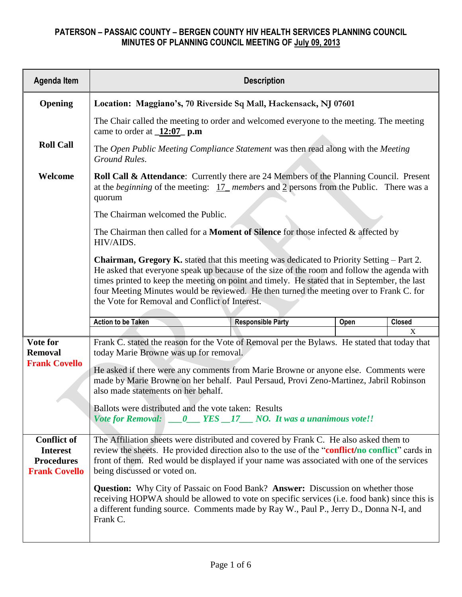| <b>Agenda Item</b>                                                                 | <b>Description</b>                                                                                                                                                                                                                                                                                                                                                                                                                          |  |      |        |  |  |  |
|------------------------------------------------------------------------------------|---------------------------------------------------------------------------------------------------------------------------------------------------------------------------------------------------------------------------------------------------------------------------------------------------------------------------------------------------------------------------------------------------------------------------------------------|--|------|--------|--|--|--|
| Opening                                                                            | Location: Maggiano's, 70 Riverside Sq Mall, Hackensack, NJ 07601                                                                                                                                                                                                                                                                                                                                                                            |  |      |        |  |  |  |
|                                                                                    | The Chair called the meeting to order and welcomed everyone to the meeting. The meeting<br>came to order at $12:07$ p.m                                                                                                                                                                                                                                                                                                                     |  |      |        |  |  |  |
| <b>Roll Call</b>                                                                   | The Open Public Meeting Compliance Statement was then read along with the Meeting<br>Ground Rules.                                                                                                                                                                                                                                                                                                                                          |  |      |        |  |  |  |
| Welcome                                                                            | <b>Roll Call &amp; Attendance:</b> Currently there are 24 Members of the Planning Council. Present<br>at the <i>beginning</i> of the meeting: $17$ members and 2 persons from the Public. There was a<br>quorum                                                                                                                                                                                                                             |  |      |        |  |  |  |
|                                                                                    | The Chairman welcomed the Public.                                                                                                                                                                                                                                                                                                                                                                                                           |  |      |        |  |  |  |
|                                                                                    | The Chairman then called for a <b>Moment of Silence</b> for those infected $\&$ affected by<br>HIV/AIDS.                                                                                                                                                                                                                                                                                                                                    |  |      |        |  |  |  |
|                                                                                    | <b>Chairman, Gregory K.</b> stated that this meeting was dedicated to Priority Setting – Part 2.<br>He asked that everyone speak up because of the size of the room and follow the agenda with<br>times printed to keep the meeting on point and timely. He stated that in September, the last<br>four Meeting Minutes would be reviewed. He then turned the meeting over to Frank C. for<br>the Vote for Removal and Conflict of Interest. |  |      |        |  |  |  |
|                                                                                    | <b>Action to be Taken</b><br><b>Responsible Party</b>                                                                                                                                                                                                                                                                                                                                                                                       |  | Open | Closed |  |  |  |
| Vote for<br><b>Removal</b><br><b>Frank Covello</b>                                 | X<br>Frank C. stated the reason for the Vote of Removal per the Bylaws. He stated that today that<br>today Marie Browne was up for removal.<br>He asked if there were any comments from Marie Browne or anyone else. Comments were<br>made by Marie Browne on her behalf. Paul Persaud, Provi Zeno-Martinez, Jabril Robinson<br>also made statements on her behalf.                                                                         |  |      |        |  |  |  |
|                                                                                    | Ballots were distributed and the vote taken: Results<br>0 YES 17 NO. It was a unanimous vote!!<br><b>Vote for Removal:</b>                                                                                                                                                                                                                                                                                                                  |  |      |        |  |  |  |
| <b>Conflict of</b><br><b>Interest</b><br><b>Procedures</b><br><b>Frank Covello</b> | The Affiliation sheets were distributed and covered by Frank C. He also asked them to<br>review the sheets. He provided direction also to the use of the "conflict/no conflict" cards in<br>front of them. Red would be displayed if your name was associated with one of the services<br>being discussed or voted on.                                                                                                                      |  |      |        |  |  |  |
|                                                                                    | <b>Question:</b> Why City of Passaic on Food Bank? <b>Answer:</b> Discussion on whether those<br>receiving HOPWA should be allowed to vote on specific services (i.e. food bank) since this is<br>a different funding source. Comments made by Ray W., Paul P., Jerry D., Donna N-I, and<br>Frank C.                                                                                                                                        |  |      |        |  |  |  |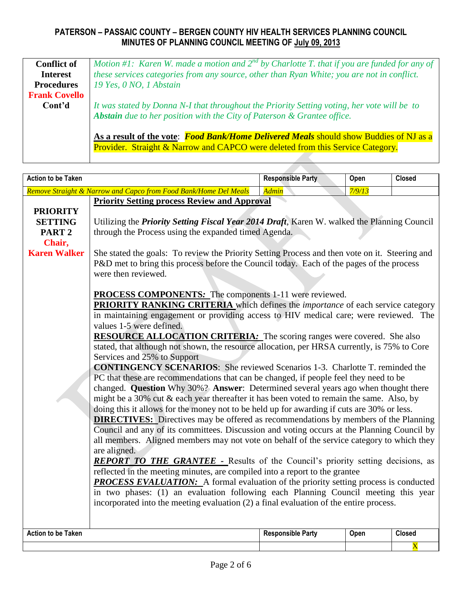| <b>Conflict of</b>   | Motion #1: Karen W, made a motion and $2^{nd}$ by Charlotte T, that if you are funded for any of |
|----------------------|--------------------------------------------------------------------------------------------------|
| <b>Interest</b>      | these services categories from any source, other than Ryan White; you are not in conflict.       |
| <b>Procedures</b>    | 19 Yes, 0 NO, 1 Abstain                                                                          |
| <b>Frank Covello</b> |                                                                                                  |
| Cont'd               | It was stated by Donna N-I that throughout the Priority Setting voting, her vote will be to      |
|                      | Abstain due to her position with the City of Paterson & Grantee office.                          |
|                      |                                                                                                  |
|                      | As a result of the vote: <i>Food Bank/Home Delivered Meals</i> should show Buddies of NJ as a    |
|                      | <b>Provider.</b> Straight & Narrow and CAPCO were deleted from this Service Category.            |
|                      |                                                                                                  |

| <b>Action to be Taken</b>           |                                                                                                                                                                                                                                                                                      | <b>Responsible Party</b> | Open   | <b>Closed</b>         |  |  |  |
|-------------------------------------|--------------------------------------------------------------------------------------------------------------------------------------------------------------------------------------------------------------------------------------------------------------------------------------|--------------------------|--------|-----------------------|--|--|--|
|                                     | Remove Straight & Narrow and Capco from Food Bank/Home Del Meals                                                                                                                                                                                                                     | <b>Admin</b>             | 7/9/13 |                       |  |  |  |
| <b>PRIORITY</b>                     | <b>Priority Setting process Review and Approval</b>                                                                                                                                                                                                                                  |                          |        |                       |  |  |  |
| <b>SETTING</b><br>PART <sub>2</sub> | Utilizing the Priority Setting Fiscal Year 2014 Draft, Karen W. walked the Planning Council                                                                                                                                                                                          |                          |        |                       |  |  |  |
| Chair,                              | through the Process using the expanded timed Agenda.                                                                                                                                                                                                                                 |                          |        |                       |  |  |  |
| <b>Karen Walker</b>                 | She stated the goals: To review the Priority Setting Process and then vote on it. Steering and<br>P&D met to bring this process before the Council today. Each of the pages of the process<br>were then reviewed.                                                                    |                          |        |                       |  |  |  |
|                                     | <b>PROCESS COMPONENTS:</b> The components 1-11 were reviewed.<br><b>PRIORITY RANKING CRITERIA</b> which defines the <i>importance</i> of each service category<br>in maintaining engagement or providing access to HIV medical care; were reviewed. The                              |                          |        |                       |  |  |  |
|                                     | values 1-5 were defined.<br><b>RESOURCE ALLOCATION CRITERIA:</b> The scoring ranges were covered. She also<br>stated, that although not shown, the resource allocation, per HRSA currently, is 75% to Core<br>Services and 25% to Support                                            |                          |        |                       |  |  |  |
|                                     | <b>CONTINGENCY SCENARIOS:</b> She reviewed Scenarios 1-3. Charlotte T. reminded the<br>PC that these are recommendations that can be changed, if people feel they need to be<br>changed. Question Why 30%? Answer: Determined several years ago when thought there                   |                          |        |                       |  |  |  |
|                                     | might be a 30% cut & each year thereafter it has been voted to remain the same. Also, by<br>doing this it allows for the money not to be held up for awarding if cuts are 30% or less.<br><b>DIRECTIVES:</b> Directives may be offered as recommendations by members of the Planning |                          |        |                       |  |  |  |
|                                     | Council and any of its committees. Discussion and voting occurs at the Planning Council by<br>all members. Aligned members may not vote on behalf of the service category to which they<br>are aligned.                                                                              |                          |        |                       |  |  |  |
|                                     | <b>REPORT TO THE GRANTEE -</b> Results of the Council's priority setting decisions, as<br>reflected in the meeting minutes, are compiled into a report to the grantee                                                                                                                |                          |        |                       |  |  |  |
|                                     | <b>PROCESS EVALUATION:</b> A formal evaluation of the priority setting process is conducted<br>in two phases: (1) an evaluation following each Planning Council meeting this year                                                                                                    |                          |        |                       |  |  |  |
|                                     | incorporated into the meeting evaluation (2) a final evaluation of the entire process.                                                                                                                                                                                               |                          |        |                       |  |  |  |
| <b>Action to be Taken</b>           |                                                                                                                                                                                                                                                                                      | <b>Responsible Party</b> | Open   | <b>Closed</b>         |  |  |  |
|                                     |                                                                                                                                                                                                                                                                                      |                          |        | $\overline{\text{X}}$ |  |  |  |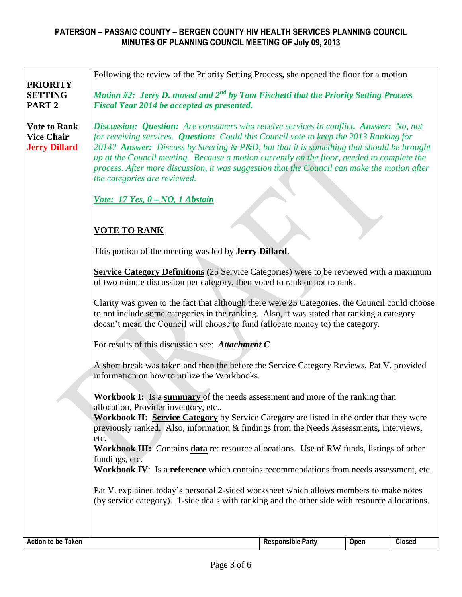|                                                                  | Following the review of the Priority Setting Process, she opened the floor for a motion                                                                                                                                                                                                                                                                                                                                                                                                                          |  |  |  |  |  |  |
|------------------------------------------------------------------|------------------------------------------------------------------------------------------------------------------------------------------------------------------------------------------------------------------------------------------------------------------------------------------------------------------------------------------------------------------------------------------------------------------------------------------------------------------------------------------------------------------|--|--|--|--|--|--|
| <b>PRIORITY</b><br><b>SETTING</b>                                | Motion #2: Jerry D. moved and $2^{nd}$ by Tom Fischetti that the Priority Setting Process                                                                                                                                                                                                                                                                                                                                                                                                                        |  |  |  |  |  |  |
| PART <sub>2</sub>                                                | Fiscal Year 2014 be accepted as presented.                                                                                                                                                                                                                                                                                                                                                                                                                                                                       |  |  |  |  |  |  |
| <b>Vote to Rank</b><br><b>Vice Chair</b><br><b>Jerry Dillard</b> | <b>Discussion: Question:</b> Are consumers who receive services in conflict. Answer: No, not<br>for receiving services. Question: Could this Council vote to keep the 2013 Ranking for<br>2014? Answer: Discuss by Steering & P&D, but that it is something that should be brought<br>up at the Council meeting. Because a motion currently on the floor, needed to complete the<br>process. After more discussion, it was suggestion that the Council can make the motion after<br>the categories are reviewed. |  |  |  |  |  |  |
|                                                                  | Vote: 17 Yes, 0 - NO, 1 Abstain                                                                                                                                                                                                                                                                                                                                                                                                                                                                                  |  |  |  |  |  |  |
|                                                                  | <b>VOTE TO RANK</b>                                                                                                                                                                                                                                                                                                                                                                                                                                                                                              |  |  |  |  |  |  |
|                                                                  |                                                                                                                                                                                                                                                                                                                                                                                                                                                                                                                  |  |  |  |  |  |  |
|                                                                  | This portion of the meeting was led by <b>Jerry Dillard</b> .                                                                                                                                                                                                                                                                                                                                                                                                                                                    |  |  |  |  |  |  |
|                                                                  | <b>Service Category Definitions</b> (25 Service Categories) were to be reviewed with a maximum<br>of two minute discussion per category, then voted to rank or not to rank.                                                                                                                                                                                                                                                                                                                                      |  |  |  |  |  |  |
|                                                                  | Clarity was given to the fact that although there were 25 Categories, the Council could choose<br>to not include some categories in the ranking. Also, it was stated that ranking a category<br>doesn't mean the Council will choose to fund (allocate money to) the category.                                                                                                                                                                                                                                   |  |  |  |  |  |  |
|                                                                  | For results of this discussion see: Attachment C                                                                                                                                                                                                                                                                                                                                                                                                                                                                 |  |  |  |  |  |  |
|                                                                  | A short break was taken and then the before the Service Category Reviews, Pat V. provided<br>information on how to utilize the Workbooks.                                                                                                                                                                                                                                                                                                                                                                        |  |  |  |  |  |  |
|                                                                  | Workbook I: Is a summary of the needs assessment and more of the ranking than<br>allocation, Provider inventory, etc<br><b>Workbook II: Service Category</b> by Service Category are listed in the order that they were                                                                                                                                                                                                                                                                                          |  |  |  |  |  |  |
|                                                                  | previously ranked. Also, information & findings from the Needs Assessments, interviews,                                                                                                                                                                                                                                                                                                                                                                                                                          |  |  |  |  |  |  |
|                                                                  | etc.<br><b>Workbook III:</b> Contains <b>data</b> re: resource allocations. Use of RW funds, listings of other                                                                                                                                                                                                                                                                                                                                                                                                   |  |  |  |  |  |  |
|                                                                  | fundings, etc.<br>Workbook IV: Is a reference which contains recommendations from needs assessment, etc.                                                                                                                                                                                                                                                                                                                                                                                                         |  |  |  |  |  |  |
|                                                                  |                                                                                                                                                                                                                                                                                                                                                                                                                                                                                                                  |  |  |  |  |  |  |
|                                                                  | Pat V. explained today's personal 2-sided worksheet which allows members to make notes<br>(by service category). 1-side deals with ranking and the other side with resource allocations.                                                                                                                                                                                                                                                                                                                         |  |  |  |  |  |  |
|                                                                  |                                                                                                                                                                                                                                                                                                                                                                                                                                                                                                                  |  |  |  |  |  |  |
| <b>Action to be Taken</b>                                        | <b>Responsible Party</b><br>Open<br><b>Closed</b>                                                                                                                                                                                                                                                                                                                                                                                                                                                                |  |  |  |  |  |  |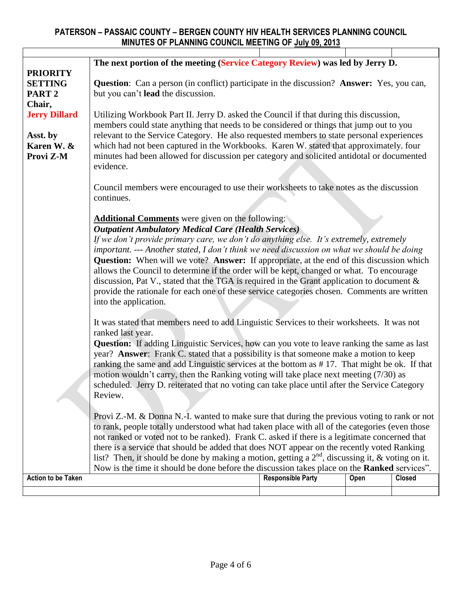|                                | The next portion of the meeting (Service Category Review) was led by Jerry D.                                                                                                             |                                                                                                                                                                                      |      |               |  |  |  |  |  |
|--------------------------------|-------------------------------------------------------------------------------------------------------------------------------------------------------------------------------------------|--------------------------------------------------------------------------------------------------------------------------------------------------------------------------------------|------|---------------|--|--|--|--|--|
| <b>PRIORITY</b>                |                                                                                                                                                                                           |                                                                                                                                                                                      |      |               |  |  |  |  |  |
| <b>SETTING</b>                 | <b>Question:</b> Can a person (in conflict) participate in the discussion? <b>Answer:</b> Yes, you can,                                                                                   |                                                                                                                                                                                      |      |               |  |  |  |  |  |
| PART <sub>2</sub>              | but you can't lead the discussion.                                                                                                                                                        |                                                                                                                                                                                      |      |               |  |  |  |  |  |
| Chair,<br><b>Jerry Dillard</b> |                                                                                                                                                                                           | Utilizing Workbook Part II. Jerry D. asked the Council if that during this discussion,                                                                                               |      |               |  |  |  |  |  |
|                                |                                                                                                                                                                                           |                                                                                                                                                                                      |      |               |  |  |  |  |  |
| Asst. by                       |                                                                                                                                                                                           | members could state anything that needs to be considered or things that jump out to you<br>relevant to the Service Category. He also requested members to state personal experiences |      |               |  |  |  |  |  |
| Karen W. &                     | which had not been captured in the Workbooks. Karen W. stated that approximately. four                                                                                                    |                                                                                                                                                                                      |      |               |  |  |  |  |  |
| Provi Z-M                      | minutes had been allowed for discussion per category and solicited antidotal or documented                                                                                                |                                                                                                                                                                                      |      |               |  |  |  |  |  |
|                                | evidence.                                                                                                                                                                                 |                                                                                                                                                                                      |      |               |  |  |  |  |  |
|                                |                                                                                                                                                                                           |                                                                                                                                                                                      |      |               |  |  |  |  |  |
|                                | Council members were encouraged to use their worksheets to take notes as the discussion                                                                                                   |                                                                                                                                                                                      |      |               |  |  |  |  |  |
|                                | continues.                                                                                                                                                                                |                                                                                                                                                                                      |      |               |  |  |  |  |  |
|                                |                                                                                                                                                                                           |                                                                                                                                                                                      |      |               |  |  |  |  |  |
|                                | <b>Additional Comments</b> were given on the following:                                                                                                                                   |                                                                                                                                                                                      |      |               |  |  |  |  |  |
|                                | <b>Outpatient Ambulatory Medical Care (Health Services)</b>                                                                                                                               |                                                                                                                                                                                      |      |               |  |  |  |  |  |
|                                | If we don't provide primary care, we don't do anything else. It's extremely, extremely                                                                                                    |                                                                                                                                                                                      |      |               |  |  |  |  |  |
|                                | important. --- Another stated, I don't think we need discussion on what we should be doing                                                                                                |                                                                                                                                                                                      |      |               |  |  |  |  |  |
|                                | <b>Question:</b> When will we vote? Answer: If appropriate, at the end of this discussion which                                                                                           |                                                                                                                                                                                      |      |               |  |  |  |  |  |
|                                | allows the Council to determine if the order will be kept, changed or what. To encourage<br>discussion, Pat V., stated that the TGA is required in the Grant application to document $\&$ |                                                                                                                                                                                      |      |               |  |  |  |  |  |
|                                | provide the rationale for each one of these service categories chosen. Comments are written                                                                                               |                                                                                                                                                                                      |      |               |  |  |  |  |  |
|                                | into the application.                                                                                                                                                                     |                                                                                                                                                                                      |      |               |  |  |  |  |  |
|                                |                                                                                                                                                                                           |                                                                                                                                                                                      |      |               |  |  |  |  |  |
|                                | It was stated that members need to add Linguistic Services to their worksheets. It was not                                                                                                |                                                                                                                                                                                      |      |               |  |  |  |  |  |
|                                | ranked last year.                                                                                                                                                                         |                                                                                                                                                                                      |      |               |  |  |  |  |  |
|                                | <b>Question:</b> If adding Linguistic Services, how can you vote to leave ranking the same as last                                                                                        |                                                                                                                                                                                      |      |               |  |  |  |  |  |
|                                | year? Answer: Frank C. stated that a possibility is that someone make a motion to keep                                                                                                    |                                                                                                                                                                                      |      |               |  |  |  |  |  |
|                                | ranking the same and add Linguistic services at the bottom as #17. That might be ok. If that                                                                                              |                                                                                                                                                                                      |      |               |  |  |  |  |  |
|                                | motion wouldn't carry, then the Ranking voting will take place next meeting (7/30) as                                                                                                     |                                                                                                                                                                                      |      |               |  |  |  |  |  |
|                                | scheduled. Jerry D. reiterated that no voting can take place until after the Service Category                                                                                             |                                                                                                                                                                                      |      |               |  |  |  |  |  |
|                                | Review.                                                                                                                                                                                   |                                                                                                                                                                                      |      |               |  |  |  |  |  |
|                                | Provi Z.-M. & Donna N.-I. wanted to make sure that during the previous voting to rank or not                                                                                              |                                                                                                                                                                                      |      |               |  |  |  |  |  |
|                                | to rank, people totally understood what had taken place with all of the categories (even those                                                                                            |                                                                                                                                                                                      |      |               |  |  |  |  |  |
|                                | not ranked or voted not to be ranked). Frank C. asked if there is a legitimate concerned that                                                                                             |                                                                                                                                                                                      |      |               |  |  |  |  |  |
|                                | there is a service that should be added that does NOT appear on the recently voted Ranking                                                                                                |                                                                                                                                                                                      |      |               |  |  |  |  |  |
|                                | list? Then, it should be done by making a motion, getting a $2^{nd}$ , discussing it, & voting on it.                                                                                     |                                                                                                                                                                                      |      |               |  |  |  |  |  |
|                                | Now is the time it should be done before the discussion takes place on the Ranked services".                                                                                              |                                                                                                                                                                                      |      |               |  |  |  |  |  |
| <b>Action to be Taken</b>      |                                                                                                                                                                                           | <b>Responsible Party</b>                                                                                                                                                             | Open | <b>Closed</b> |  |  |  |  |  |
|                                |                                                                                                                                                                                           |                                                                                                                                                                                      |      |               |  |  |  |  |  |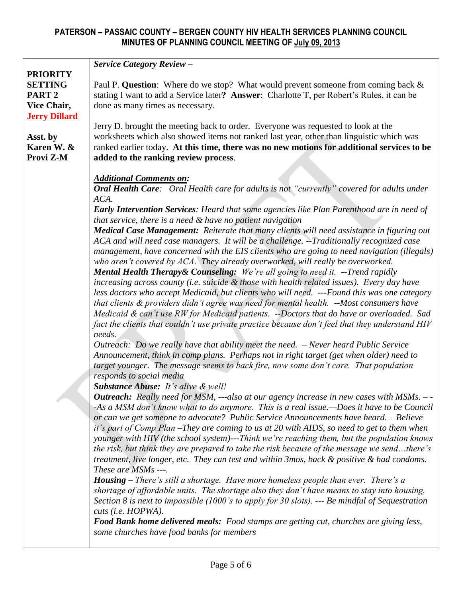|                      | <b>Service Category Review -</b>                                                                                                                                                   |
|----------------------|------------------------------------------------------------------------------------------------------------------------------------------------------------------------------------|
| <b>PRIORITY</b>      |                                                                                                                                                                                    |
| <b>SETTING</b>       | Paul P. Question: Where do we stop? What would prevent someone from coming back &                                                                                                  |
| PART <sub>2</sub>    | stating I want to add a Service later? Answer: Charlotte T, per Robert's Rules, it can be                                                                                          |
| Vice Chair,          | done as many times as necessary.                                                                                                                                                   |
| <b>Jerry Dillard</b> |                                                                                                                                                                                    |
|                      | Jerry D. brought the meeting back to order. Everyone was requested to look at the                                                                                                  |
| Asst. by             | worksheets which also showed items not ranked last year, other than linguistic which was                                                                                           |
| Karen W. &           | ranked earlier today. At this time, there was no new motions for additional services to be                                                                                         |
| Provi Z-M            | added to the ranking review process.                                                                                                                                               |
|                      |                                                                                                                                                                                    |
|                      | <b>Additional Comments on:</b>                                                                                                                                                     |
|                      | Oral Health Care: Oral Health care for adults is not "currently" covered for adults under                                                                                          |
|                      | ACA.                                                                                                                                                                               |
|                      | <b>Early Intervention Services:</b> Heard that some agencies like Plan Parenthood are in need of                                                                                   |
|                      | that service, there is a need & have no patient navigation                                                                                                                         |
|                      | Medical Case Management: Reiterate that many clients will need assistance in figuring out                                                                                          |
|                      | ACA and will need case managers. It will be a challenge. --Traditionally recognized case                                                                                           |
|                      | management, have concerned with the EIS clients who are going to need navigation (illegals)                                                                                        |
|                      | who aren't covered by ACA. They already overworked, will really be overworked.                                                                                                     |
|                      | <b>Mental Health Therapy &amp; Counseling:</b> We're all going to need it. --Trend rapidly                                                                                         |
|                      | increasing across county (i.e. suicide & those with health related issues). Every day have                                                                                         |
|                      | less doctors who accept Medicaid, but clients who will need. ---Found this was one category                                                                                        |
|                      | that clients & providers didn't agree was need for mental health. --Most consumers have                                                                                            |
|                      | Medicaid & can't use RW for Medicaid patients. --Doctors that do have or overloaded. Sad                                                                                           |
|                      | fact the clients that couldn't use private practice because don't feel that they understand HIV                                                                                    |
|                      | needs.                                                                                                                                                                             |
|                      | Outreach: Do we really have that ability meet the need. $-$ Never heard Public Service                                                                                             |
|                      | Announcement, think in comp plans. Perhaps not in right target (get when older) need to                                                                                            |
|                      | target younger. The message seems to back fire, now some don't care. That population                                                                                               |
|                      | responds to social media                                                                                                                                                           |
|                      | <b>Substance Abuse:</b> It's alive & well!                                                                                                                                         |
|                      | <b>Outreach:</b> Really need for MSM, ---also at our agency increase in new cases with MSMs. - -                                                                                   |
|                      | -As a MSM don't know what to do anymore. This is a real issue.—Does it have to be Council                                                                                          |
|                      | or can we get someone to advocate? Public Service Announcements have heard. -Believe<br>it's part of Comp Plan -They are coming to us at 20 with AIDS, so need to get to them when |
|                      | younger with HIV (the school system)---Think we're reaching them, but the population knows                                                                                         |
|                      | the risk, but think they are prepared to take the risk because of the message we sendthere's                                                                                       |
|                      | treatment, live longer, etc. They can test and within 3mos, back & positive & had condoms.                                                                                         |
|                      | These are MSMs ---.                                                                                                                                                                |
|                      | <b>Housing</b> – There's still a shortage. Have more homeless people than ever. There's a                                                                                          |
|                      | shortage of affordable units. The shortage also they don't have means to stay into housing.                                                                                        |
|                      | Section 8 is next to impossible (1000's to apply for 30 slots). --- Be mindful of Sequestration                                                                                    |
|                      | cuts (i.e. HOPWA).                                                                                                                                                                 |
|                      | Food Bank home delivered meals: Food stamps are getting cut, churches are giving less,                                                                                             |
|                      | some churches have food banks for members                                                                                                                                          |
|                      |                                                                                                                                                                                    |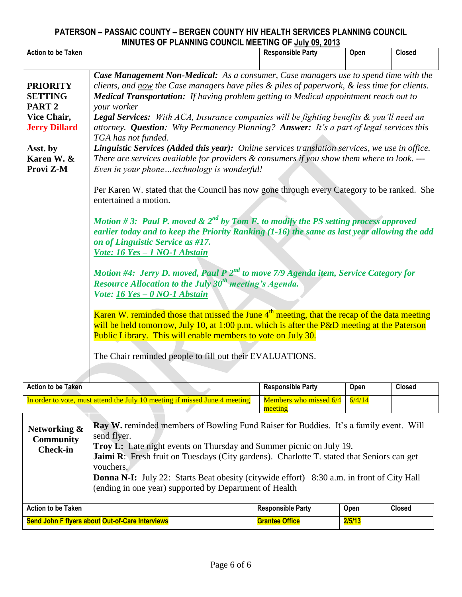|                                                                                                                                                                                                                                                                                                                                                                                                                                                                                                                                                                                                                                                                                                                                                                                                                                                                                                                                                                                                                                                                                                                                                                                                                                                                                                                                                                                                                                                                                                                                                                                                                                                                                                                                                                        | <b>MINOTED OF FEANINING COUNCIL MEETING OF JULY 03, 2013</b>                                                                                                                                                                                                                                                                                                                                                                                        |                                   |        |               |  |  |
|------------------------------------------------------------------------------------------------------------------------------------------------------------------------------------------------------------------------------------------------------------------------------------------------------------------------------------------------------------------------------------------------------------------------------------------------------------------------------------------------------------------------------------------------------------------------------------------------------------------------------------------------------------------------------------------------------------------------------------------------------------------------------------------------------------------------------------------------------------------------------------------------------------------------------------------------------------------------------------------------------------------------------------------------------------------------------------------------------------------------------------------------------------------------------------------------------------------------------------------------------------------------------------------------------------------------------------------------------------------------------------------------------------------------------------------------------------------------------------------------------------------------------------------------------------------------------------------------------------------------------------------------------------------------------------------------------------------------------------------------------------------------|-----------------------------------------------------------------------------------------------------------------------------------------------------------------------------------------------------------------------------------------------------------------------------------------------------------------------------------------------------------------------------------------------------------------------------------------------------|-----------------------------------|--------|---------------|--|--|
| <b>Action to be Taken</b>                                                                                                                                                                                                                                                                                                                                                                                                                                                                                                                                                                                                                                                                                                                                                                                                                                                                                                                                                                                                                                                                                                                                                                                                                                                                                                                                                                                                                                                                                                                                                                                                                                                                                                                                              |                                                                                                                                                                                                                                                                                                                                                                                                                                                     | <b>Responsible Party</b>          | Open   | <b>Closed</b> |  |  |
| Case Management Non-Medical: As a consumer, Case managers use to spend time with the<br>clients, and now the Case managers have piles & piles of paperwork, & less time for clients.<br><b>PRIORITY</b><br><b>Medical Transportation:</b> If having problem getting to Medical appointment reach out to<br><b>SETTING</b><br>PART <sub>2</sub><br>your worker<br><b>Legal Services:</b> With ACA, Insurance companies will be fighting benefits & you'll need an<br>Vice Chair,<br>attorney. Question: Why Permanency Planning? Answer: It's a part of legal services this<br><b>Jerry Dillard</b><br>TGA has not funded.<br>Linguistic Services (Added this year): Online services translation services, we use in office.<br>Asst. by<br>Karen W. &<br>There are services available for providers $&$ consumers if you show them where to look. ---<br>Provi Z-M<br>Even in your phonetechnology is wonderful!<br>Per Karen W. stated that the Council has now gone through every Category to be ranked. She<br>entertained a motion.<br>Motion #3: Paul P. moved & $2^{nd}$ by Tom F. to modify the PS setting process approved<br>earlier today and to keep the Priority Ranking $(1-16)$ the same as last year allowing the add<br>on of Linguistic Service as #17.<br>Vote: 16 Yes - 1 NO-1 Abstain<br>Motion #4: Jerry D. moved, Paul P $2^{nd}$ to move 7/9 Agenda item, Service Category for<br>Resource Allocation to the July $30^{th}$ meeting's Agenda.<br>Vote: 16 Yes - 0 NO-1 Abstain<br>Karen W. reminded those that missed the June $4th$ meeting, that the recap of the data meeting<br>will be held tomorrow, July 10, at 1:00 p.m. which is after the P&D meeting at the Paterson<br>Public Library. This will enable members to vote on July 30. |                                                                                                                                                                                                                                                                                                                                                                                                                                                     |                                   |        |               |  |  |
| <b>Action to be Taken</b>                                                                                                                                                                                                                                                                                                                                                                                                                                                                                                                                                                                                                                                                                                                                                                                                                                                                                                                                                                                                                                                                                                                                                                                                                                                                                                                                                                                                                                                                                                                                                                                                                                                                                                                                              |                                                                                                                                                                                                                                                                                                                                                                                                                                                     | <b>Responsible Party</b>          | Open   | <b>Closed</b> |  |  |
|                                                                                                                                                                                                                                                                                                                                                                                                                                                                                                                                                                                                                                                                                                                                                                                                                                                                                                                                                                                                                                                                                                                                                                                                                                                                                                                                                                                                                                                                                                                                                                                                                                                                                                                                                                        | In order to vote, must attend the July 10 meeting if missed June 4 meeting                                                                                                                                                                                                                                                                                                                                                                          | Members who missed 6/4<br>meeting | 6/4/14 |               |  |  |
| Networking &<br><b>Community</b><br><b>Check-in</b>                                                                                                                                                                                                                                                                                                                                                                                                                                                                                                                                                                                                                                                                                                                                                                                                                                                                                                                                                                                                                                                                                                                                                                                                                                                                                                                                                                                                                                                                                                                                                                                                                                                                                                                    | Ray W. reminded members of Bowling Fund Raiser for Buddies. It's a family event. Will<br>send flyer.<br>Troy L: Late night events on Thursday and Summer picnic on July 19.<br>Jaimi R: Fresh fruit on Tuesdays (City gardens). Charlotte T. stated that Seniors can get<br>vouchers.<br><b>Donna N-I:</b> July 22: Starts Beat obesity (citywide effort) 8:30 a.m. in front of City Hall<br>(ending in one year) supported by Department of Health |                                   |        |               |  |  |
| <b>Action to be Taken</b>                                                                                                                                                                                                                                                                                                                                                                                                                                                                                                                                                                                                                                                                                                                                                                                                                                                                                                                                                                                                                                                                                                                                                                                                                                                                                                                                                                                                                                                                                                                                                                                                                                                                                                                                              |                                                                                                                                                                                                                                                                                                                                                                                                                                                     | <b>Responsible Party</b>          | Open   | <b>Closed</b> |  |  |
|                                                                                                                                                                                                                                                                                                                                                                                                                                                                                                                                                                                                                                                                                                                                                                                                                                                                                                                                                                                                                                                                                                                                                                                                                                                                                                                                                                                                                                                                                                                                                                                                                                                                                                                                                                        | Send John F flyers about Out-of-Care Interviews                                                                                                                                                                                                                                                                                                                                                                                                     | <b>Grantee Office</b>             | 2/5/13 |               |  |  |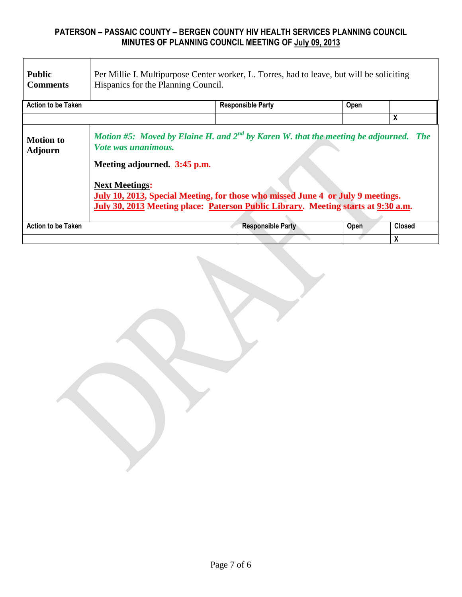| <b>Public</b><br><b>Comments</b>   | Per Millie I. Multipurpose Center worker, L. Torres, had to leave, but will be soliciting<br>Hispanics for the Planning Council.                                                                                                                                                                                                                  |                          |      |               |  |  |  |
|------------------------------------|---------------------------------------------------------------------------------------------------------------------------------------------------------------------------------------------------------------------------------------------------------------------------------------------------------------------------------------------------|--------------------------|------|---------------|--|--|--|
| <b>Action to be Taken</b>          |                                                                                                                                                                                                                                                                                                                                                   | <b>Responsible Party</b> | Open |               |  |  |  |
|                                    |                                                                                                                                                                                                                                                                                                                                                   |                          |      | X             |  |  |  |
| <b>Motion to</b><br><b>Adjourn</b> | Motion #5: Moved by Elaine H. and $2^{nd}$ by Karen W. that the meeting be adjourned. The<br>Vote was unanimous.<br>Meeting adjourned. 3:45 p.m.<br><b>Next Meetings:</b><br>July 10, 2013, Special Meeting, for those who missed June 4 or July 9 meetings.<br>July 30, 2013 Meeting place: Paterson Public Library. Meeting starts at 9:30 a.m. |                          |      |               |  |  |  |
| <b>Action to be Taken</b>          |                                                                                                                                                                                                                                                                                                                                                   | <b>Responsible Party</b> | Open | <b>Closed</b> |  |  |  |
|                                    |                                                                                                                                                                                                                                                                                                                                                   |                          |      | X             |  |  |  |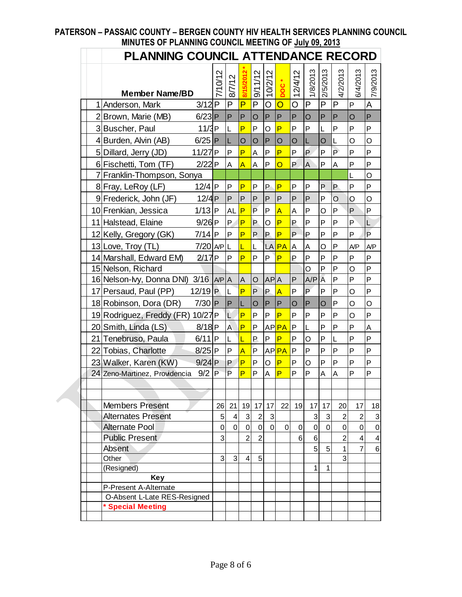|   | PLANNING COUNCIL ATTENDANCE RECORD                        |              |             |                         |                |              |                  |           |             |              |                   |                |                 |
|---|-----------------------------------------------------------|--------------|-------------|-------------------------|----------------|--------------|------------------|-----------|-------------|--------------|-------------------|----------------|-----------------|
|   |                                                           |              |             | 8/15/2012               | 9/11/12        | 10/2/12      | DOC <sup>*</sup> | 12/4/12   | 1/8/2013    | 2/5/2013     | 4/2/2013          | 6/4/2013       | 7/9/2013        |
| 1 | <b>Member Name/BD</b><br>$3/12$ P<br>Anderson, Mark       | 7/10/12      | 8/7/12<br>P | P                       | P              | O            | $\overline{O}$   | O         | P           | P            | ΙP                | P              | A               |
|   |                                                           |              | P           | P                       |                | $\mathsf{P}$ | P                | P         |             | P            | P                 |                | $\mathsf{P}$    |
|   | 2 Brown, Marie (MB)<br>$6/23$ P                           |              |             | P                       | O              |              | P                | P         | O           |              | P                 | O<br>P         | P               |
|   | 3 Buscher, Paul<br>11/3P                                  |              | L           |                         | P              | O            |                  |           | P           | L            |                   |                |                 |
|   | 4 Burden, Alvin (AB)<br>$6/25$ P                          |              | L           | $\overline{O}$          | O              | P            | O                | O         | L           | O            | L<br>$\mathsf{P}$ | O              | O               |
|   | 5 Dillard, Jerry (JD)<br>11/27 <sub>P</sub>               |              | P           | P                       | A              | P            | P                | P         | P           | P            |                   | P              | P               |
|   | 6 Fischetti, Tom (TF)<br>2/22P                            |              | A           | $\overline{A}$          | A              | P            | O                | P         | A           | P            | A                 | P              | P               |
|   | 7 Franklin-Thompson, Sonya                                |              |             |                         |                |              |                  |           |             |              |                   | L              | $\overline{O}$  |
|   | 8 Fray, LeRoy (LF)<br>$12/4$ P                            |              | P           | P                       | P              | P            | P                | P         | Ρ           | P            | P                 | P              | P               |
|   | 9 Frederick, John (JF)<br>12/4P                           |              | P           | P                       | P              | P            | P                | P         | P           | P            | $\circ$           | O              | O               |
|   | 10 Frenkian, Jessica<br>$1/13$ P                          |              | AL P        |                         | P              | P            | $\overline{A}$   | A         | P           | O            | P                 | P              | P               |
|   | 11 Halstead, Elaine<br>$9/26$ P                           |              | P           | $\overline{P}$          | P              | O            | P                | P         | P           | P            | P                 | $\mathsf{P}$   | L               |
|   | $7/14$ P<br>12 Kelly, Gregory (GK)                        |              | P           | P                       | P              | P            | P                | P         | P           | P            | P                 | P              | P               |
|   | 13 Love, Troy (TL)<br>$7/20$ APL                          |              |             | L                       | L              | LA           | <b>PA</b>        | <b>A</b>  | A           | O            | $\overline{P}$    | A/P            | A/P             |
|   | 14 Marshall, Edward EM)<br>2/17P                          |              | P           | P                       | P              | P            | P                | P         | P           | P            | P                 | P              | P               |
|   | 15 Nelson, Richard                                        |              |             |                         |                |              |                  |           | O           | P            | P                 | O              | P               |
|   | $3/16$ $\vert$ A/P $\vert$ A<br>16 Nelson-lvy, Donna DNI) |              |             | $\overline{A}$          | O              | AP A         |                  | P         | A/P         | A            | $\mathsf{P}$      | P              | P               |
|   | 17 Persaud, Paul (PP)<br>$12/19$ P                        |              | L           | P                       | P              | P            | $\overline{A}$   | P         | P           | P            | P                 | O              | P               |
|   | 18 Robinson, Dora (DR)<br>$7/30$ P                        |              | P           | L                       | O              | P            | P                | O         | P           | O            | $\overline{P}$    | O              | O               |
|   | 19 Rodriguez, Freddy (FR)<br>10/27 <sub>P</sub>           |              | Ľ           | P                       | P              | P            | P                | P         | P           | P            | P                 | O              | P               |
|   | 20 Smith, Linda (LS)<br>$8/18$ P                          |              | À           | P                       | P              |              | AP <b>PA</b>     | <b>IP</b> | L           | P            | P                 | P              | A               |
|   | 21 Tenebruso, Paula<br>$6/11$  P                          |              | L           | Ĺ                       | P              | P            | P                | P         | O           | P            | $\overline{L}$    | P              | P               |
|   | 22 Tobias, Charlotte<br>$8/25$ P                          |              | P           | $\overline{\mathsf{A}}$ | $\overline{P}$ |              | AP <b>PA</b>     | <b>P</b>  | P           | P            | P                 | P              | P               |
|   | 23 Walker, Karen (KW)<br>$9/24$ P                         |              | P           | P                       | P              | O            | P                | P         | O           | P            | $\overline{P}$    | P              | P               |
|   | 9/2<br>24 Zeno-Martinez, Providencia                      | $\mathsf{P}$ | P           | P                       | P              | A            | P                | P         | P           | A            | A                 | P              | P               |
|   |                                                           |              |             |                         |                |              |                  |           |             |              |                   |                |                 |
|   |                                                           |              |             |                         |                |              |                  |           |             |              |                   |                |                 |
|   | <b>Members Present</b>                                    | 26           | 21          | 19                      | 17             | 17           | 22               | 19        | 17          | 17           | 20                | 17             | 18              |
|   | <b>Alternates Present</b>                                 | 5            | 4           | $\sqrt{3}$              | $\sqrt{2}$     | 3            |                  |           | $\mathbf 3$ | $\sqrt{3}$   | $\overline{c}$    | $\overline{2}$ | 3               |
|   | <b>Alternate Pool</b>                                     | 0            | $\mathbf 0$ | $\pmb{0}$               | $\pmb{0}$      | $\mathbf 0$  | $\mathbf 0$      | 0         | $\mathbf 0$ | $\mathbf 0$  | 0                 | 0              | $\mathbf 0$     |
|   | <b>Public Present</b>                                     | 3            |             | $\overline{2}$          | $\overline{2}$ |              |                  | 6         | $\,6$       |              | $\overline{2}$    | 4              | 4               |
|   | Absent                                                    |              |             |                         |                |              |                  |           | 5           | 5            | $\mathbf{1}$      | 7              | $6\phantom{1}6$ |
|   | Other                                                     | 3            | 3           | $\overline{4}$          | 5              |              |                  |           |             |              | 3                 |                |                 |
|   | (Resigned)                                                |              |             |                         |                |              |                  |           | 1           | $\mathbf{1}$ |                   |                |                 |
|   | <b>Key</b><br>P-Present A-Alternate                       |              |             |                         |                |              |                  |           |             |              |                   |                |                 |
|   | O-Absent L-Late RES-Resigned                              |              |             |                         |                |              |                  |           |             |              |                   |                |                 |
|   | * Special Meeting                                         |              |             |                         |                |              |                  |           |             |              |                   |                |                 |
|   |                                                           |              |             |                         |                |              |                  |           |             |              |                   |                |                 |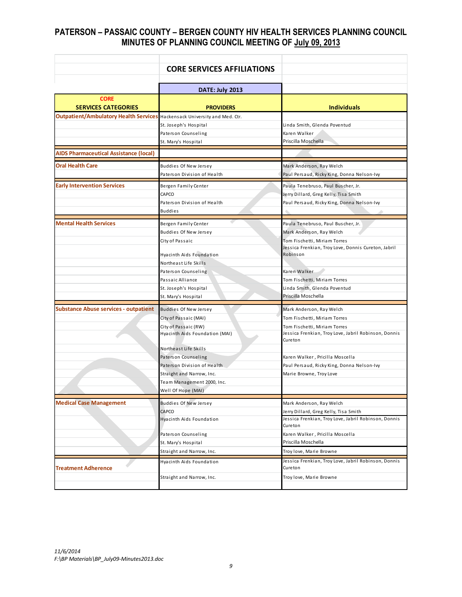|                                                                           | <b>CORE SERVICES AFFILIATIONS</b> |                                                                 |
|---------------------------------------------------------------------------|-----------------------------------|-----------------------------------------------------------------|
|                                                                           |                                   |                                                                 |
|                                                                           | DATE: July 2013                   |                                                                 |
| <b>CORE</b><br><b>SERVICES CATEGORIES</b>                                 | <b>PROVIDERS</b>                  | <b>Individuals</b>                                              |
| Outpatient/Ambulatory Health Services Hackensack University and Med. Ctr. |                                   |                                                                 |
|                                                                           | St. Joseph's Hospital             | Linda Smith, Glenda Poventud                                    |
|                                                                           | Paterson Counseling               | Karen Walker                                                    |
|                                                                           | St. Mary's Hospital               | Priscilla Moschella                                             |
| <b>AIDS Pharmaceutical Assistance (local)</b>                             |                                   |                                                                 |
| <b>Oral Health Care</b>                                                   | <b>Buddies Of New Jersey</b>      | Mark Anderson, Ray Welch                                        |
|                                                                           | Paterson Division of Health       | Paul Persaud, Ricky King, Donna Nelson-Ivy                      |
| <b>Early Intervention Services</b>                                        | Bergen Family Center              | Paula Tenebruso, Paul Buscher, Jr.                              |
|                                                                           | CAPCO                             | Jerry Dillard, Greg Kelly, Tisa Smith                           |
|                                                                           | Paterson Division of Health       | Paul Persaud, Ricky King, Donna Nelson-Ivy                      |
|                                                                           | <b>Buddies</b>                    |                                                                 |
| <b>Mental Health Services</b>                                             | Bergen Family Center              | Paula Tenebruso, Paul Buscher, Jr.                              |
|                                                                           | <b>Buddies Of New Jersey</b>      | Mark Anderson, Ray Welch                                        |
|                                                                           | City of Passaic                   | Tom Fischetti, Miriam Torres                                    |
|                                                                           | Hyacinth Aids Foundation          | Jessica Frenkian, Troy Love, Donnis Cureton, Jabril<br>Robinson |
|                                                                           | Northeast Life Skills             |                                                                 |
|                                                                           | Paterson Counseling               | Karen Walker                                                    |
|                                                                           | Passaic Alliance                  | Tom Fischetti, Miriam Torres                                    |
|                                                                           | St. Joseph's Hospital             | Linda Smith, Glenda Poventud                                    |
|                                                                           | St. Mary's Hospital               | Priscilla Moschella                                             |
| <b>Substance Abuse services - outpatient</b>                              | Buddies Of New Jersey             | Mark Anderson, Ray Welch                                        |
|                                                                           | City of Passaic (MAI)             | Tom Fischetti, Miriam Torres                                    |
|                                                                           | City of Passaic (RW)              | Tom Fischetti, Miriam Torres                                    |
|                                                                           | Hyacinth Aids Foundation (MAI)    | Jessica Frenkian, Troy Love, Jabril Robinson, Donnis<br>Cureton |
|                                                                           | Northeast Life Skills             |                                                                 |
|                                                                           | Paterson Counseling               | Karen Walker, Pricilla Moscella                                 |
|                                                                           | Paterson Division of Health       | Paul Persaud, Ricky King, Donna Nelson-Ivy                      |
|                                                                           | Straight and Narrow, Inc.         | Marie Browne, Troy Love                                         |
|                                                                           | Team Management 2000, Inc.        |                                                                 |
|                                                                           | Well Of Hope (MAI)                |                                                                 |
| <b>Medical Case Management</b>                                            | <b>Buddies Of New Jersey</b>      | Mark Anderson, Ray Welch                                        |
|                                                                           | CAPCO                             | Jerry Dillard, Greg Kelly, Tisa Smith                           |
|                                                                           | Hyacinth Aids Foundation          | Jessica Frenkian, Troy Love, Jabril Robinson, Donnis<br>Cureton |
|                                                                           | Paterson Counseling               | Karen Walker, Pricilla Moscella                                 |
|                                                                           | St. Mary's Hospital               | Priscilla Moschella                                             |
|                                                                           | Straight and Narrow, Inc.         | Troy love, Marie Browne                                         |
| <b>Treatment Adherence</b>                                                | Hyacinth Aids Foundation          | Jessica Frenkian, Troy Love, Jabril Robinson, Donnis<br>Cureton |
|                                                                           | Straight and Narrow, Inc.         | Troy love, Marie Browne                                         |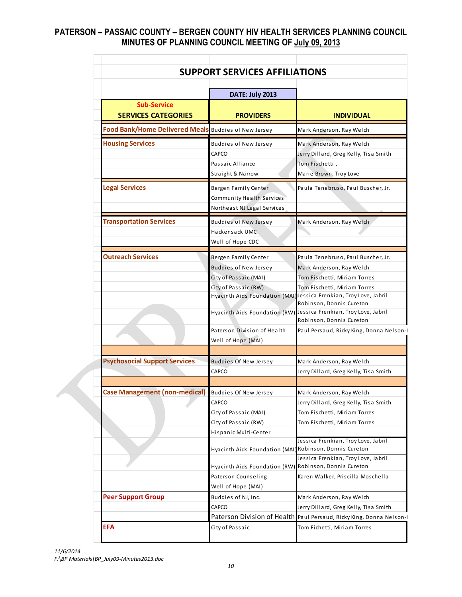|                                                      | <b>SUPPORT SERVICES AFFILIATIONS</b>                                                                                                     |                                                                                                                                                                                                                                 |  |  |
|------------------------------------------------------|------------------------------------------------------------------------------------------------------------------------------------------|---------------------------------------------------------------------------------------------------------------------------------------------------------------------------------------------------------------------------------|--|--|
|                                                      | DATE: July 2013                                                                                                                          |                                                                                                                                                                                                                                 |  |  |
| <b>Sub-Service</b><br><b>SERVICES CATEGORIES</b>     | <b>PROVIDERS</b>                                                                                                                         | <b>INDIVIDUAL</b>                                                                                                                                                                                                               |  |  |
| Food Bank/Home Delivered Meals Buddies of New Jersey |                                                                                                                                          | Mark Anderson, Ray Welch                                                                                                                                                                                                        |  |  |
| <b>Housing Services</b>                              | <b>Buddies of New Jersey</b><br>CAPCO<br>Passaic Alliance<br>Straight & Narrow                                                           | Mark Anderson, Ray Welch<br>Jerry Dillard, Greg Kelly, Tisa Smith<br>Tom Fischetti,<br>Marie Brown, Troy Love                                                                                                                   |  |  |
| <b>Legal Services</b>                                | Bergen Family Center<br>Community Health Services<br>Northeast NJ Legal Services                                                         | Paula Tenebruso, Paul Buscher, Jr.                                                                                                                                                                                              |  |  |
| <b>Transportation Services</b>                       | <b>Buddies of New Jersey</b><br>Hackensack UMC<br>Well of Hope CDC                                                                       | Mark Anderson, Ray Welch                                                                                                                                                                                                        |  |  |
| <b>Outreach Services</b>                             | Bergen Family Center<br><b>Buddies of New Jersey</b><br>City of Passaic (MAI)<br>City of Passaic (RW)                                    | Paula Tenebruso, Paul Buscher, Jr.<br>Mark Anderson, Ray Welch<br>Tom Fischetti, Miriam Torres<br>Tom Fischetti, Miriam Torres<br>Hyacinth Aids Foundation (MAI)Jessica Frenkian, Troy Love, Jabril<br>Robinson, Donnis Cureton |  |  |
|                                                      | Paterson Division of Health<br>Well of Hope (MAI)                                                                                        | Hyacinth Aids Foundation (RW) Jessica Frenkian, Troy Love, Jabril<br>Robinson, Donnis Cureton<br>Paul Persaud, Ricky King, Donna Nelson-I                                                                                       |  |  |
| <b>Psychosocial Support Services</b>                 | <b>Buddies Of New Jersey</b><br>CAPCO                                                                                                    | Mark Anderson, Ray Welch<br>Jerry Dillard, Greg Kelly, Tisa Smith                                                                                                                                                               |  |  |
| Case Management (non-medical) Buddies Of New Jersey  | CAPCO<br>City of Passaic (MAI)<br>City of Passaic (RW)<br>Hispanic Multi-Center                                                          | Mark Anderson, Ray Welch<br>Jerry Dillard, Greg Kelly, Tisa Smith<br>Tom Fischetti, Miriam Torres<br>Tom Fischetti, Miriam Torres                                                                                               |  |  |
|                                                      | Hyacinth Aids Foundation (MAI) Robinson, Donnis Cureton<br>Hyacinth Aids Foundation (RW) Robinson, Donnis Cureton<br>Paterson Counseling | Jessica Frenkian, Troy Love, Jabril<br>Jessica Frenkian, Troy Love, Jabril<br>Karen Walker, Priscilla Moschella                                                                                                                 |  |  |
| <b>Peer Support Group</b>                            | Well of Hope (MAI)<br>Buddies of NJ, Inc.<br>CAPCO                                                                                       | Mark Anderson, Ray Welch<br>Jerry Dillard, Greg Kelly, Tisa Smith                                                                                                                                                               |  |  |
|                                                      |                                                                                                                                          | Paterson Division of Health Paul Persaud, Ricky King, Donna Nelson-I                                                                                                                                                            |  |  |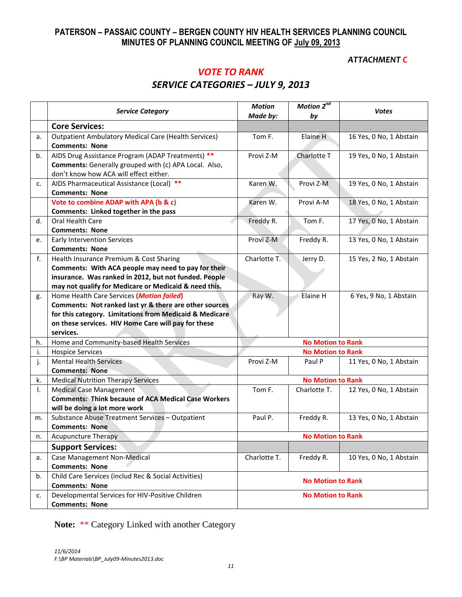#### *ATTACHMENT C*

# *VOTE TO RANK SERVICE CATEGORIES – JULY 9, 2013*

|    | <b>Service Category</b>                                                                                                                                                                                                            | <b>Motion</b><br>Made by: | Motion 2 <sup>nd</sup><br>by | <b>Votes</b>            |  |  |
|----|------------------------------------------------------------------------------------------------------------------------------------------------------------------------------------------------------------------------------------|---------------------------|------------------------------|-------------------------|--|--|
|    | <b>Core Services:</b>                                                                                                                                                                                                              |                           |                              |                         |  |  |
| a. | <b>Outpatient Ambulatory Medical Care (Health Services)</b><br><b>Comments: None</b>                                                                                                                                               | Tom F.                    | Elaine H                     | 16 Yes, 0 No, 1 Abstain |  |  |
| b. | AIDS Drug Assistance Program (ADAP Treatments) **<br>Comments: Generally grouped with (c) APA Local. Also,<br>don't know how ACA will effect either.                                                                               | Provi Z-M                 | Charlotte T                  | 19 Yes, 0 No, 1 Abstain |  |  |
| c. | AIDS Pharmaceutical Assistance (Local) **<br><b>Comments: None</b>                                                                                                                                                                 | Karen W.                  | Provi Z-M                    | 19 Yes, 0 No, 1 Abstain |  |  |
|    | Vote to combine ADAP with APA (b & c)<br>Comments: Linked together in the pass                                                                                                                                                     | Karen W.                  | Provi A-M                    | 18 Yes, 0 No, 1 Abstain |  |  |
| d. | <b>Oral Health Care</b><br><b>Comments: None</b>                                                                                                                                                                                   | Freddy R.                 | Tom F.                       | 17 Yes, 0 No, 1 Abstain |  |  |
| e. | <b>Early Intervention Services</b><br><b>Comments: None</b>                                                                                                                                                                        | Provi Z-M                 | Freddy R.                    | 13 Yes, 0 No, 1 Abstain |  |  |
| f. | Health Insurance Premium & Cost Sharing<br>Comments: With ACA people may need to pay for their<br>insurance. Was ranked in 2012, but not funded. People<br>may not qualify for Medicare or Medicaid & need this.                   | Charlotte T.              | Jerry D.                     | 15 Yes, 2 No, 1 Abstain |  |  |
| g. | Home Health Care Services (Motion failed)<br>Comments: Not ranked last yr & there are other sources<br>for this category. Limitations from Medicaid & Medicare<br>on these services. HIV Home Care will pay for these<br>services. | Ray W.                    | Elaine H                     | 6 Yes, 9 No, 1 Abstain  |  |  |
| h. | Home and Community-based Health Services                                                                                                                                                                                           |                           | <b>No Motion to Rank</b>     |                         |  |  |
| i. | <b>Hospice Services</b>                                                                                                                                                                                                            |                           | <b>No Motion to Rank</b>     |                         |  |  |
| j. | <b>Mental Health Services</b><br><b>Comments: None</b>                                                                                                                                                                             | Provi Z-M                 | Paul P                       | 11 Yes, 0 No, 1 Abstain |  |  |
| k. | <b>Medical Nutrition Therapy Services</b>                                                                                                                                                                                          |                           | <b>No Motion to Rank</b>     |                         |  |  |
| I. | <b>Medical Case Management</b><br><b>Comments: Think because of ACA Medical Case Workers</b><br>will be doing a lot more work                                                                                                      | Tom F.                    | Charlotte T.                 | 12 Yes, 0 No, 1 Abstain |  |  |
| m. | Substance Abuse Treatment Services - Outpatient<br><b>Comments: None</b>                                                                                                                                                           | Paul P.                   | Freddy R.                    | 13 Yes, 0 No, 1 Abstain |  |  |
| n. | Acupuncture Therapy                                                                                                                                                                                                                |                           | <b>No Motion to Rank</b>     |                         |  |  |
|    | <b>Support Services:</b>                                                                                                                                                                                                           |                           |                              |                         |  |  |
| a. | <b>Case Management Non-Medical</b><br><b>Comments: None</b>                                                                                                                                                                        | Charlotte T.              | Freddy R.                    | 10 Yes, 0 No, 1 Abstain |  |  |
| b. | Child Care Services (includ Rec & Social Activities)<br><b>Comments: None</b>                                                                                                                                                      | <b>No Motion to Rank</b>  |                              |                         |  |  |
| c. | Developmental Services for HIV-Positive Children<br><b>Comments: None</b>                                                                                                                                                          | <b>No Motion to Rank</b>  |                              |                         |  |  |

**Note:** \*\* Category Linked with another Category